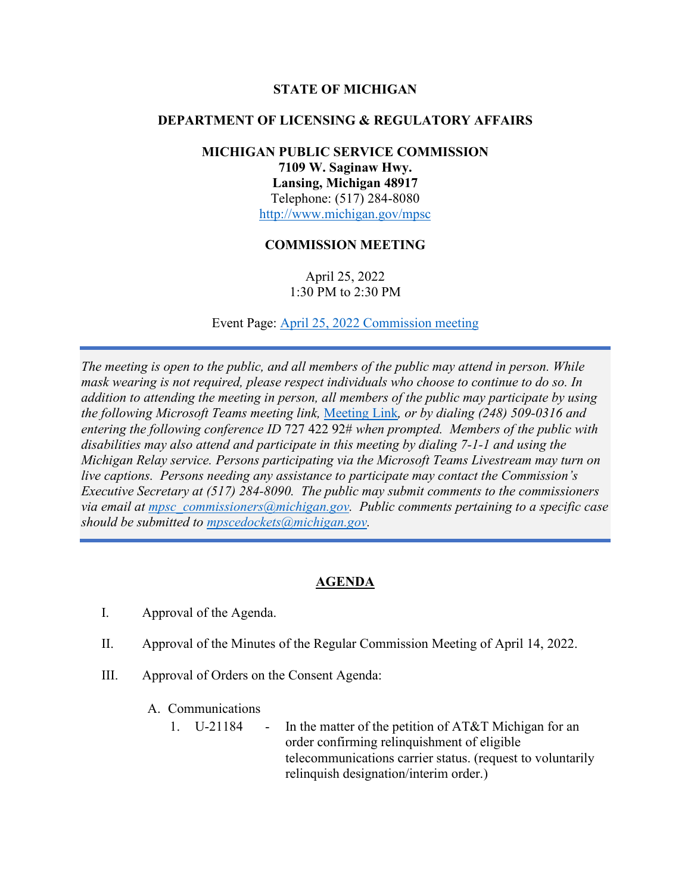# **STATE OF MICHIGAN**

### **DEPARTMENT OF LICENSING & REGULATORY AFFAIRS**

# **MICHIGAN PUBLIC SERVICE COMMISSION 7109 W. Saginaw Hwy. Lansing, Michigan 48917** Telephone: (517) 284-8080 <http://www.michigan.gov/mpsc>

#### **COMMISSION MEETING**

April 25, 2022 1:30 PM to 2:30 PM

Event Page: [April 25, 2022 Commission meeting](https://bit.ly/3JTN7Bq)

*The meeting is open to the public, and all members of the public may attend in person. While mask wearing is not required, please respect individuals who choose to continue to do so. In addition to attending the meeting in person, all members of the public may participate by using the following Microsoft Teams meeting link,* [Meeting Link](https://bit.ly/3EpRPpu)*, or by dialing (248) 509-0316 and entering the following conference ID* 727 422 92# *when prompted. Members of the public with disabilities may also attend and participate in this meeting by dialing 7-1-1 and using the Michigan Relay service. Persons participating via the Microsoft Teams Livestream may turn on live captions. Persons needing any assistance to participate may contact the Commission's Executive Secretary at (517) 284-8090. The public may submit comments to the commissioners via email at [mpsc\\_commissioners@michigan.gov.](mailto:mpsc_commissioners@michigan.gov) Public comments pertaining to a specific case should be submitted to [mpscedockets@michigan.gov.](mailto:mpscedockets@michigan.gov)*

# **AGENDA**

- I. Approval of the Agenda.
- II. Approval of the Minutes of the Regular Commission Meeting of April 14, 2022.
- III. Approval of Orders on the Consent Agenda:
	- A. Communications
		- 1. U-21184 In the matter of the petition of AT&T Michigan for an order confirming relinquishment of eligible telecommunications carrier status. (request to voluntarily relinquish designation/interim order.)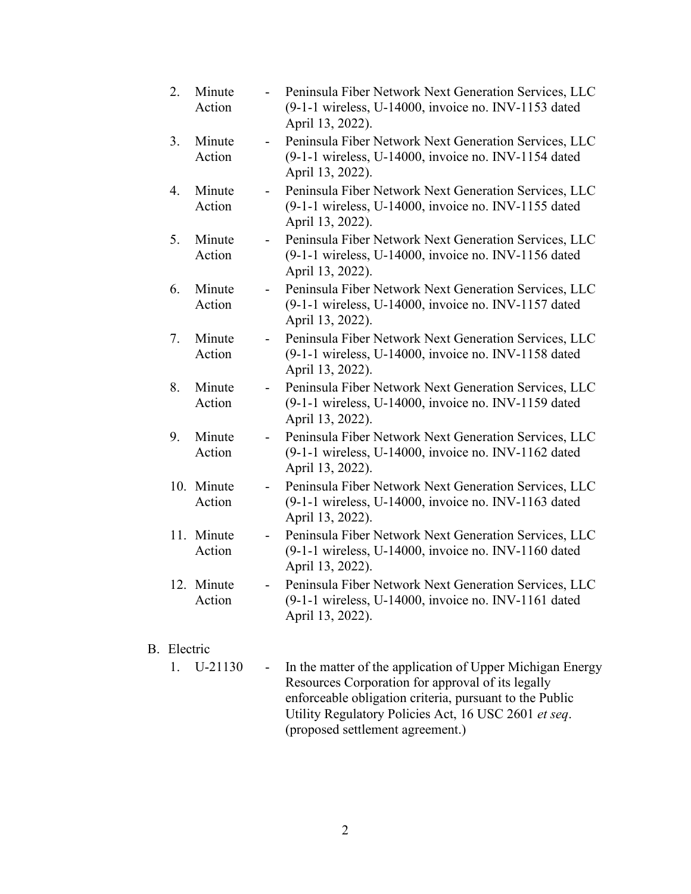| 2.               | Minute<br>Action     |                          | Peninsula Fiber Network Next Generation Services, LLC<br>(9-1-1 wireless, U-14000, invoice no. INV-1153 dated<br>April 13, 2022). |
|------------------|----------------------|--------------------------|-----------------------------------------------------------------------------------------------------------------------------------|
| 3.               | Minute<br>Action     | $\overline{\phantom{0}}$ | Peninsula Fiber Network Next Generation Services, LLC<br>(9-1-1 wireless, U-14000, invoice no. INV-1154 dated<br>April 13, 2022). |
| $\overline{4}$ . | Minute<br>Action     |                          | Peninsula Fiber Network Next Generation Services, LLC<br>(9-1-1 wireless, U-14000, invoice no. INV-1155 dated<br>April 13, 2022). |
| 5.               | Minute<br>Action     | $\overline{\phantom{0}}$ | Peninsula Fiber Network Next Generation Services, LLC<br>(9-1-1 wireless, U-14000, invoice no. INV-1156 dated<br>April 13, 2022). |
| 6.               | Minute<br>Action     | $\overline{\phantom{a}}$ | Peninsula Fiber Network Next Generation Services, LLC<br>(9-1-1 wireless, U-14000, invoice no. INV-1157 dated<br>April 13, 2022). |
| 7.               | Minute<br>Action     | $\overline{\phantom{a}}$ | Peninsula Fiber Network Next Generation Services, LLC<br>(9-1-1 wireless, U-14000, invoice no. INV-1158 dated<br>April 13, 2022). |
| 8.               | Minute<br>Action     |                          | Peninsula Fiber Network Next Generation Services, LLC<br>(9-1-1 wireless, U-14000, invoice no. INV-1159 dated<br>April 13, 2022). |
| 9.               | Minute<br>Action     | $\sim$                   | Peninsula Fiber Network Next Generation Services, LLC<br>(9-1-1 wireless, U-14000, invoice no. INV-1162 dated<br>April 13, 2022). |
|                  | 10. Minute<br>Action | $\blacksquare$           | Peninsula Fiber Network Next Generation Services, LLC<br>(9-1-1 wireless, U-14000, invoice no. INV-1163 dated<br>April 13, 2022). |
|                  | 11. Minute<br>Action | $\overline{\phantom{a}}$ | Peninsula Fiber Network Next Generation Services, LLC<br>(9-1-1 wireless, U-14000, invoice no. INV-1160 dated<br>April 13, 2022). |
|                  | 12. Minute<br>Action |                          | Peninsula Fiber Network Next Generation Services, LLC<br>(9-1-1 wireless, U-14000, invoice no. INV-1161 dated<br>April 13, 2022). |

# B. Electric

1. U-21130 - In the matter of the application of Upper Michigan Energy Resources Corporation for approval of its legally enforceable obligation criteria, pursuant to the Public Utility Regulatory Policies Act, 16 USC 2601 *et seq*. (proposed settlement agreement.)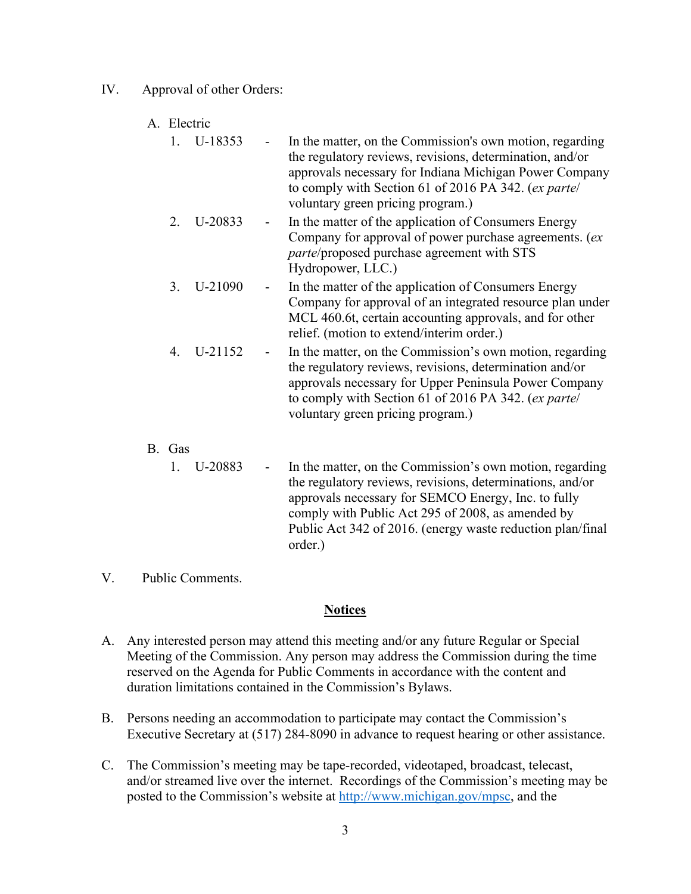- IV. Approval of other Orders:
	- A. Electric

|    | U-18353      |            | In the matter, on the Commission's own motion, regarding<br>the regulatory reviews, revisions, determination, and/or<br>approvals necessary for Indiana Michigan Power Company<br>to comply with Section 61 of 2016 PA 342. (ex parte/<br>voluntary green pricing program.) |
|----|--------------|------------|-----------------------------------------------------------------------------------------------------------------------------------------------------------------------------------------------------------------------------------------------------------------------------|
|    | 2. U-20833   | $\sim 100$ | In the matter of the application of Consumers Energy<br>Company for approval of power purchase agreements. (ex<br><i>parte/proposed purchase agreement with STS</i><br>Hydropower, LLC.)                                                                                    |
|    | $3. U-21090$ |            | In the matter of the application of Consumers Energy<br>Company for approval of an integrated resource plan under<br>MCL 460.6t, certain accounting approvals, and for other<br>relief. (motion to extend/interim order.)                                                   |
| 4. | U-21152      |            | In the matter, on the Commission's own motion, regarding<br>the regulatory reviews, revisions, determination and/or<br>approvals necessary for Upper Peninsula Power Company<br>to comply with Section 61 of 2016 PA 342. (ex parte/<br>voluntary green pricing program.)   |

B. Gas

1. U-20883 - In the matter, on the Commission's own motion, regarding the regulatory reviews, revisions, determinations, and/or approvals necessary for SEMCO Energy, Inc. to fully comply with Public Act 295 of 2008, as amended by Public Act 342 of 2016. (energy waste reduction plan/final order.)

V. Public Comments.

#### **Notices**

- A. Any interested person may attend this meeting and/or any future Regular or Special Meeting of the Commission. Any person may address the Commission during the time reserved on the Agenda for Public Comments in accordance with the content and duration limitations contained in the Commission's Bylaws.
- B. Persons needing an accommodation to participate may contact the Commission's Executive Secretary at (517) 284-8090 in advance to request hearing or other assistance.
- C. The Commission's meeting may be tape-recorded, videotaped, broadcast, telecast, and/or streamed live over the internet. Recordings of the Commission's meeting may be posted to the Commission's website at [http://www.michigan.gov/mpsc,](http://www.michigan.gov/mpsc) and the